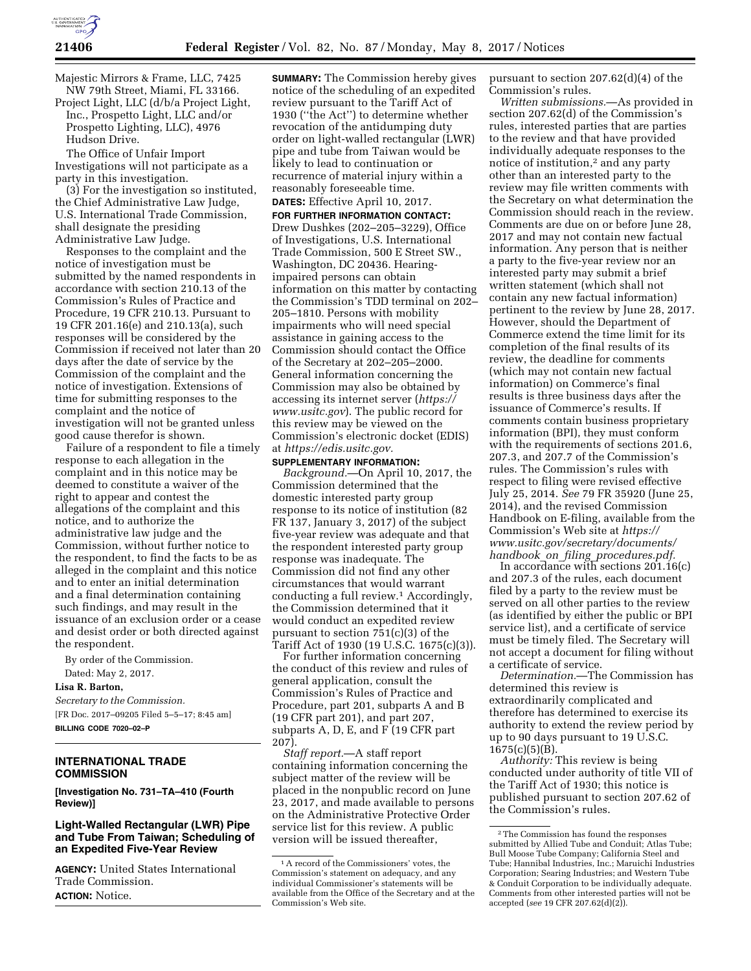

Majestic Mirrors & Frame, LLC, 7425 NW 79th Street, Miami, FL 33166.

Project Light, LLC (d/b/a Project Light, Inc., Prospetto Light, LLC and/or Prospetto Lighting, LLC), 4976 Hudson Drive.

The Office of Unfair Import Investigations will not participate as a party in this investigation.

(3) For the investigation so instituted, the Chief Administrative Law Judge, U.S. International Trade Commission, shall designate the presiding Administrative Law Judge.

Responses to the complaint and the notice of investigation must be submitted by the named respondents in accordance with section 210.13 of the Commission's Rules of Practice and Procedure, 19 CFR 210.13. Pursuant to 19 CFR 201.16(e) and 210.13(a), such responses will be considered by the Commission if received not later than 20 days after the date of service by the Commission of the complaint and the notice of investigation. Extensions of time for submitting responses to the complaint and the notice of investigation will not be granted unless good cause therefor is shown.

Failure of a respondent to file a timely response to each allegation in the complaint and in this notice may be deemed to constitute a waiver of the right to appear and contest the allegations of the complaint and this notice, and to authorize the administrative law judge and the Commission, without further notice to the respondent, to find the facts to be as alleged in the complaint and this notice and to enter an initial determination and a final determination containing such findings, and may result in the issuance of an exclusion order or a cease and desist order or both directed against the respondent.

By order of the Commission. Dated: May 2, 2017.

**Lisa R. Barton,** 

*Secretary to the Commission.*  [FR Doc. 2017–09205 Filed 5–5–17; 8:45 am] **BILLING CODE 7020–02–P** 

#### **INTERNATIONAL TRADE COMMISSION**

**[Investigation No. 731–TA–410 (Fourth Review)]** 

#### **Light-Walled Rectangular (LWR) Pipe and Tube From Taiwan; Scheduling of an Expedited Five-Year Review**

**AGENCY:** United States International Trade Commission. **ACTION:** Notice.

**SUMMARY:** The Commission hereby gives notice of the scheduling of an expedited review pursuant to the Tariff Act of 1930 (''the Act'') to determine whether revocation of the antidumping duty order on light-walled rectangular (LWR) pipe and tube from Taiwan would be likely to lead to continuation or recurrence of material injury within a reasonably foreseeable time.

# **DATES:** Effective April 10, 2017.

**FOR FURTHER INFORMATION CONTACT:**  Drew Dushkes (202–205–3229), Office of Investigations, U.S. International Trade Commission, 500 E Street SW., Washington, DC 20436. Hearingimpaired persons can obtain information on this matter by contacting the Commission's TDD terminal on 202– 205–1810. Persons with mobility impairments who will need special assistance in gaining access to the Commission should contact the Office of the Secretary at 202–205–2000. General information concerning the Commission may also be obtained by accessing its internet server (*[https://](https://www.usitc.gov) [www.usitc.gov](https://www.usitc.gov)*). The public record for this review may be viewed on the Commission's electronic docket (EDIS) at *[https://edis.usitc.gov.](https://edis.usitc.gov)* 

#### **SUPPLEMENTARY INFORMATION:**

*Background.*—On April 10, 2017, the Commission determined that the domestic interested party group response to its notice of institution (82 FR 137, January 3, 2017) of the subject five-year review was adequate and that the respondent interested party group response was inadequate. The Commission did not find any other circumstances that would warrant conducting a full review.1 Accordingly, the Commission determined that it would conduct an expedited review pursuant to section 751(c)(3) of the Tariff Act of 1930 (19 U.S.C. 1675(c)(3)).

For further information concerning the conduct of this review and rules of general application, consult the Commission's Rules of Practice and Procedure, part 201, subparts A and B (19 CFR part 201), and part 207, subparts A, D, E, and F (19 CFR part 207).

*Staff report.*—A staff report containing information concerning the subject matter of the review will be placed in the nonpublic record on June 23, 2017, and made available to persons on the Administrative Protective Order service list for this review. A public version will be issued thereafter,

pursuant to section 207.62(d)(4) of the Commission's rules.

*Written submissions.*—As provided in section 207.62(d) of the Commission's rules, interested parties that are parties to the review and that have provided individually adequate responses to the notice of institution,2 and any party other than an interested party to the review may file written comments with the Secretary on what determination the Commission should reach in the review. Comments are due on or before June 28, 2017 and may not contain new factual information. Any person that is neither a party to the five-year review nor an interested party may submit a brief written statement (which shall not contain any new factual information) pertinent to the review by June 28, 2017. However, should the Department of Commerce extend the time limit for its completion of the final results of its review, the deadline for comments (which may not contain new factual information) on Commerce's final results is three business days after the issuance of Commerce's results. If comments contain business proprietary information (BPI), they must conform with the requirements of sections 201.6, 207.3, and 207.7 of the Commission's rules. The Commission's rules with respect to filing were revised effective July 25, 2014. *See* 79 FR 35920 (June 25, 2014), and the revised Commission Handbook on E-filing, available from the Commission's Web site at *[https://](https://www.usitc.gov/secretary/documents/handbook_on_filing_procedures.pdf) [www.usitc.gov/secretary/documents/](https://www.usitc.gov/secretary/documents/handbook_on_filing_procedures.pdf)  handbook*\_*on*\_*filing*\_*[procedures.pdf.](https://www.usitc.gov/secretary/documents/handbook_on_filing_procedures.pdf)* 

In accordance with sections  $201.16(c)$ and 207.3 of the rules, each document filed by a party to the review must be served on all other parties to the review (as identified by either the public or BPI service list), and a certificate of service must be timely filed. The Secretary will not accept a document for filing without a certificate of service.

*Determination.*—The Commission has determined this review is extraordinarily complicated and therefore has determined to exercise its authority to extend the review period by up to 90 days pursuant to 19 U.S.C.  $1675(c)(5)(B)$ .

*Authority:* This review is being conducted under authority of title VII of the Tariff Act of 1930; this notice is published pursuant to section 207.62 of the Commission's rules.

<sup>1</sup>A record of the Commissioners' votes, the Commission's statement on adequacy, and any individual Commissioner's statements will be available from the Office of the Secretary and at the Commission's Web site.

<sup>2</sup>The Commission has found the responses submitted by Allied Tube and Conduit; Atlas Tube; Bull Moose Tube Company; California Steel and Tube; Hannibal Industries, Inc.; Maruichi Industries Corporation; Searing Industries; and Western Tube & Conduit Corporation to be individually adequate. Comments from other interested parties will not be accepted (*see* 19 CFR 207.62(d)(2)).